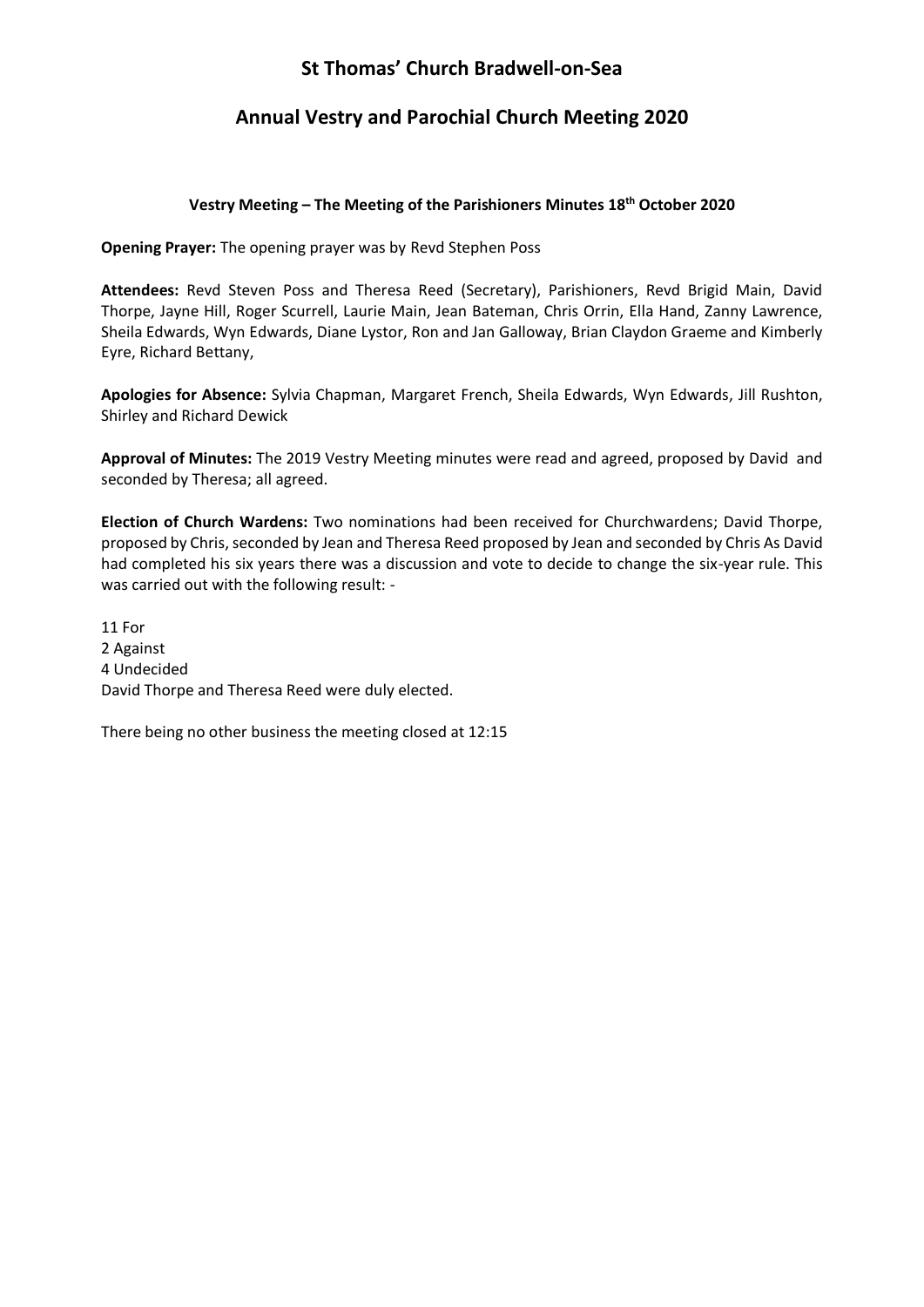# **St Thomas' Church Bradwell-on-Sea**

## **Annual Vestry and Parochial Church Meeting 2020**

## **Vestry Meeting – The Meeting of the Parishioners Minutes 18th October 2020**

**Opening Prayer:** The opening prayer was by Revd Stephen Poss

**Attendees:** Revd Steven Poss and Theresa Reed (Secretary), Parishioners, Revd Brigid Main, David Thorpe, Jayne Hill, Roger Scurrell, Laurie Main, Jean Bateman, Chris Orrin, Ella Hand, Zanny Lawrence, Sheila Edwards, Wyn Edwards, Diane Lystor, Ron and Jan Galloway, Brian Claydon Graeme and Kimberly Eyre, Richard Bettany,

**Apologies for Absence:** Sylvia Chapman, Margaret French, Sheila Edwards, Wyn Edwards, Jill Rushton, Shirley and Richard Dewick

**Approval of Minutes:** The 2019 Vestry Meeting minutes were read and agreed, proposed by David and seconded by Theresa; all agreed.

**Election of Church Wardens:** Two nominations had been received for Churchwardens; David Thorpe, proposed by Chris, seconded by Jean and Theresa Reed proposed by Jean and seconded by Chris As David had completed his six years there was a discussion and vote to decide to change the six-year rule. This was carried out with the following result: -

11 For 2 Against 4 Undecided David Thorpe and Theresa Reed were duly elected.

There being no other business the meeting closed at 12:15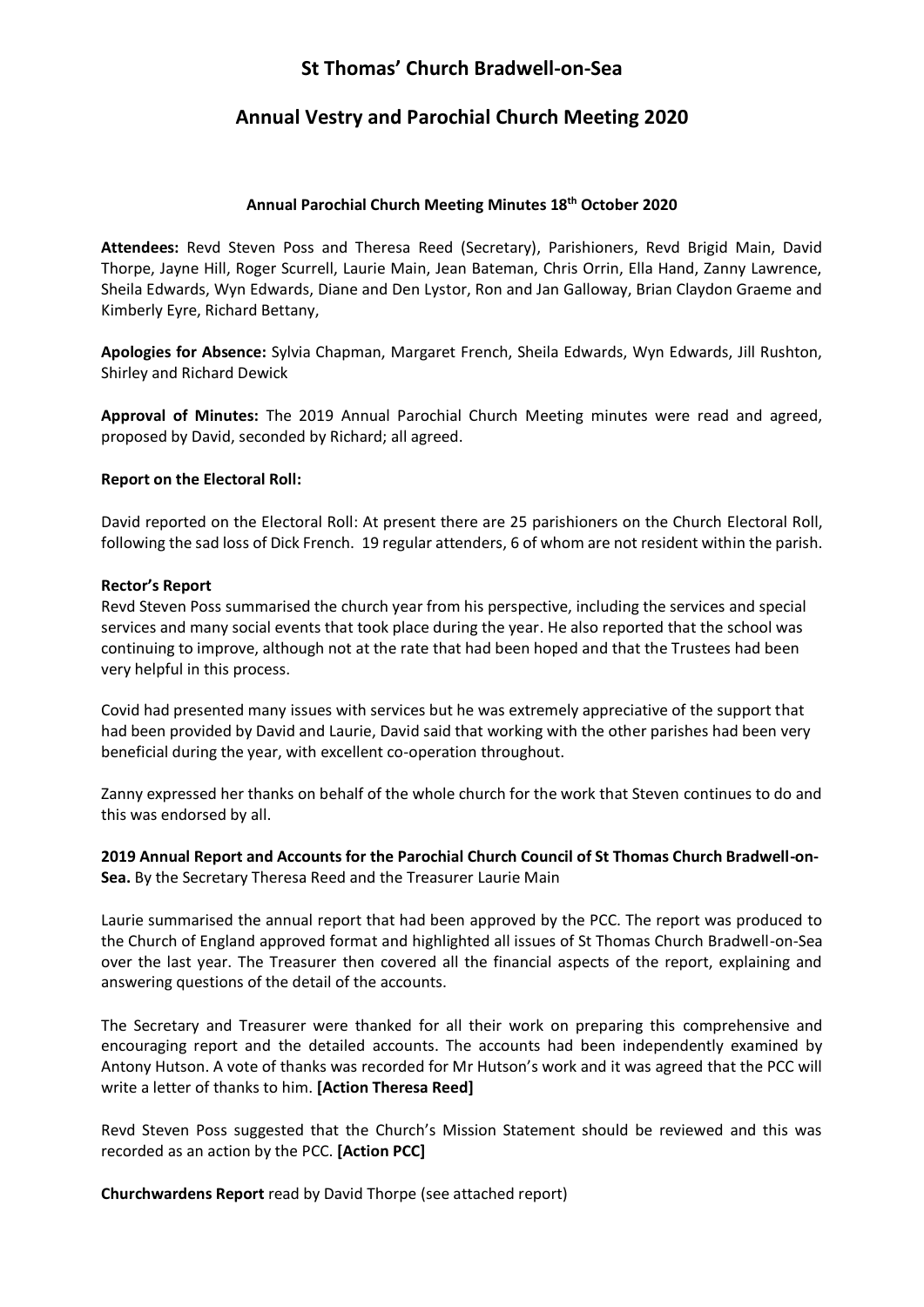## **St Thomas' Church Bradwell-on-Sea**

## **Annual Vestry and Parochial Church Meeting 2020**

### **Annual Parochial Church Meeting Minutes 18th October 2020**

**Attendees:** Revd Steven Poss and Theresa Reed (Secretary), Parishioners, Revd Brigid Main, David Thorpe, Jayne Hill, Roger Scurrell, Laurie Main, Jean Bateman, Chris Orrin, Ella Hand, Zanny Lawrence, Sheila Edwards, Wyn Edwards, Diane and Den Lystor, Ron and Jan Galloway, Brian Claydon Graeme and Kimberly Eyre, Richard Bettany,

**Apologies for Absence:** Sylvia Chapman, Margaret French, Sheila Edwards, Wyn Edwards, Jill Rushton, Shirley and Richard Dewick

**Approval of Minutes:** The 2019 Annual Parochial Church Meeting minutes were read and agreed, proposed by David, seconded by Richard; all agreed.

### **Report on the Electoral Roll:**

David reported on the Electoral Roll: At present there are 25 parishioners on the Church Electoral Roll, following the sad loss of Dick French. 19 regular attenders, 6 of whom are not resident within the parish.

### **Rector's Report**

Revd Steven Poss summarised the church year from his perspective, including the services and special services and many social events that took place during the year. He also reported that the school was continuing to improve, although not at the rate that had been hoped and that the Trustees had been very helpful in this process.

Covid had presented many issues with services but he was extremely appreciative of the support that had been provided by David and Laurie, David said that working with the other parishes had been very beneficial during the year, with excellent co-operation throughout.

Zanny expressed her thanks on behalf of the whole church for the work that Steven continues to do and this was endorsed by all.

**2019 Annual Report and Accounts for the Parochial Church Council of St Thomas Church Bradwell-on-Sea.** By the Secretary Theresa Reed and the Treasurer Laurie Main

Laurie summarised the annual report that had been approved by the PCC. The report was produced to the Church of England approved format and highlighted all issues of St Thomas Church Bradwell-on-Sea over the last year. The Treasurer then covered all the financial aspects of the report, explaining and answering questions of the detail of the accounts.

The Secretary and Treasurer were thanked for all their work on preparing this comprehensive and encouraging report and the detailed accounts. The accounts had been independently examined by Antony Hutson. A vote of thanks was recorded for Mr Hutson's work and it was agreed that the PCC will write a letter of thanks to him. **[Action Theresa Reed]**

Revd Steven Poss suggested that the Church's Mission Statement should be reviewed and this was recorded as an action by the PCC. **[Action PCC]**

**Churchwardens Report** read by David Thorpe (see attached report)